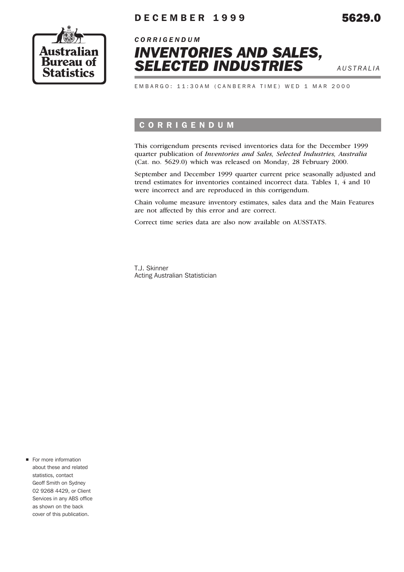

## DECEMBER 1999 5629.0



EMBARGO: 11:30AM (CANBERRA TIME) WED 1 MAR 2000

## CORRIGENDUM

This corrigendum presents revised inventories data for the December 1999 quarter publication of *Inventories and Sales, Selected Industries, Australia* (Cat. no. 5629.0) which was released on Monday, 28 February 2000.

September and December 1999 quarter current price seasonally adjusted and trend estimates for inventories contained incorrect data. Tables 1, 4 and 10 were incorrect and are reproduced in this corrigendum.

Chain volume measure inventory estimates, sales data and the Main Features are not affected by this error and are correct.

Correct time series data are also now available on AUSSTATS.

T.J. Skinner Acting Australian Statistician

• For more information about these and related statistics, contact Geoff Smith on Sydney 02 9268 4429, or Client Services in any ABS office as shown on the back cover of this publication.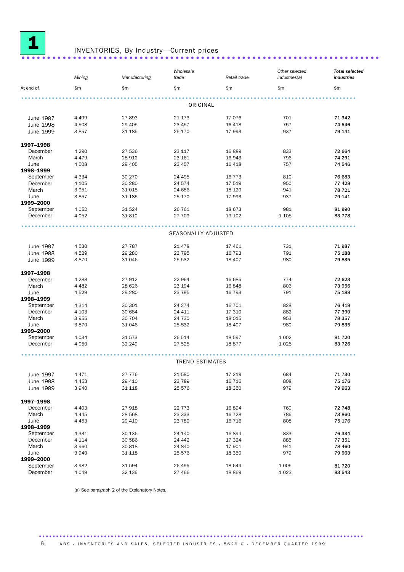

## <sup>1</sup> INVENTORIES, By Industry—Current prices ...................................................................... ..

#### *Mining Manufacturing Wholesale trade Retail trade Other selected industries(a) Total selected industries* At end of the same state is the state of the state of the state is the state of the state of the state of the s .................................................................................................. 0RIGINAL June 1997 4 499 27 893 21 173 17 076 701 71 342 June 1998 4 508 29 405 23 457 16 418 757 74 546 June 1999 3 857 31 185 25 170 17 993 937 79 141 1997–1998 December 4 290 27 536 23 117 16 889 833 72 664 March 4 479 28 912 23 161 16 943 796 74 291 June 1998–1999<br>September 4 508 29 405 23 457 16 418 757 23 457 16 418 September 4 334 30 270 24 495 16 773 810 30 76 683 December 4 105 30 280 24 574 17 519 950 77 428 March 3 951 31 015 24 686 18 129 941 7**8 721** June 1999–2000 3 857 31 185 25 170 17 993 937 79 141 September 4 052 31 524 26 761 18 673 981 990 81 990 December 4 052 31 810 27 709 19 102 1 105 83 778 .................................................................................................. SEASONALLY ADJUSTED June 1997 4 530 27 787 21 478 17 461 731 71 987 June 1998 4 529 29 280 23 795 16 793 791 75 188 June 1999 3 870 31 046 25 532 18 407 980 79 835 **1997–1998 December** 1988 **1997–1998** December 4 288 27 912 22 964 16 685 774 72 623 March 4 482 28 626 23 194 16 848 806 73 956 June 1998–1999<br>September 4 529 29 280 29 28795 16 793 275 188 September 4 314 30 301 24 274 16 701 828 76 418 December 4 103 30 684 24 411 17 310 882 77 390 March 3 955 30 704 24 730 18 015 953 7**8 357** June 1999–2000 3 870 31 046 25 532 18 407 980 79 835 September 4 034 31 573 26 514 18 597 1 002 81 720 December 4 050 32 249 27 525 18 877 1 025 83 726 .................................................................................................. **TREND ESTIMATES** June 1997 4 471 27 776 21 580 17 219 684 71 730 June 1998 4 453 29 410 23 789 16 716 808 75 176 June 1999 3 940 31 118 25 576 18 350 979 79 963 **1997–1998 December** 14,403 **1997–1998** December 4 403 27 918 22 773 16 894 760 22 72 748 March 4 445 28 568 23 333 16 728 786 **73 860** June 1998–1999 4 453 29 410 23 789 16 716 808 75 176 September 4 331 30 136 24 140 16 894 833 76 334 December 4 114 30 586 24 442 17 324 885 77 351 March 3 960 30 818 24 840 17 901 941 7**8 460** June 1999–2000<br>September 3 940 31 118 25 576 18 350 979 79 963 September 3 982 31 594 26 495 18 644 1 005 81 720 December 4 049 32 136 27 466 18 869 1 023 83 543

(a) See paragraph 2 of the Explanatory Notes.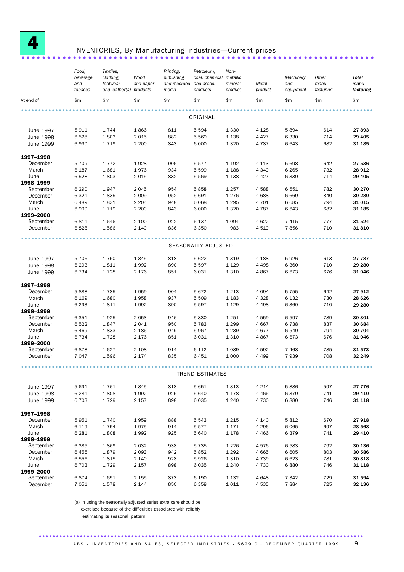

## INVENTORIES, By Manufacturing industries—Current prices ........................

#### *Food, beverage and tobacco Textiles, clothing, footwear and leather(a) products Wood and paper Printing, publishing and recorded media Petroleum, coal, chemical metallic and assoc. products Nonmineral product Metal product Machinery and equipment Other manufacturing Total manu– facturing* At end of \$m \$m \$m \$m \$m \$m \$m \$m \$m \$m ....................................................................................................... ORIGINAL June 1997 5 911 1 744 1 866 811 5 594 1 330 4 128 5 894 614 27 893 June 1998 6 528 1 803 2 015 882 5 569 1 138 4 427 6 330 714 29 405 June 1999 6 990 1 719 2 200 843 6 000 1 320 4 787 6 643 682 31 185 1997–1998 December 5 709 1 772 1 928 906 5 577 1 192 4 113 5 698 642 27 536 March 6 187 1 681 1 976 934 5 599 1 188 4 349 6 265 732 28 912 June 1998–1999 6 528 1 803 2 015 882 5 569 1 138 4 427 6 330 714 29 405 September 6 290 1 947 2 045 954 5 858 1 257 4 588 6 551 782 30 270 December 6 321 1 835 2 009 952 5 691 1 276 4 688 6 669 840 30 280 March 6 489 1 831 2 204 948 6 068 1 295 4 701 6 685 794 31 015 June 1999–2000<br>September 6 990 1 719 2 200 843 6 000 1 320 4 787 6 643 682 31 185 September 6 811 1 646 2 100 922 6 137 1 094 4 622 7 415 777 31 524 December 6 828 1 586 2 140 836 6 350 983 4 519 7 856 710 31 810 ....................................................................................................... SEASONALLY ADJUSTED June 1997 5 706 1 750 1 845 818 5 622 1 319 4 188 5 926 613 27 787 June 1998 6 293 1 811 1 992 890 5 597 1 129 4 498 6 360 710 29 280 June 1999 6 734 1 728 2 176 851 6 031 1 310 4 867 6 673 676 31 046 **1997–1998**<br>
December 5 888 1 785 1 959 December 5 888 1 785 1 959 904 5 672 1 213 4 094 5 755 642 27 912 March 6 169 1 680 1 958 937 5 509 1 183 4 328 6 132 730 28 626 June 1998–1999 6 293 1 811 1 992 890 5 597 1 129 4 498 6 360 710 29 280 September 6 351 1 925 2 053 946 5 830 1 251 4 559 6 597 789 30 301 December 6 522 1 847 2 041 950 5 783 1 299 4 667 6 738 837 30 684 March 6 469 1 833 2 186 949 5 967 1 289 4 677 6 540 794 30 704 June 1999–2000 6 734 1 728 2 176 851 6 031 1 310 4 867 6 673 676 31 046 September 6 878 1 627 2 108 914 6 112 1 089 4 592 7 468 785 31 573 December 7 047 1 596 2 174 835 6 451 1 000 4 499 7 939 708 32 249 ....................................................................................................... TREND ESTIMATES June 1997 5 691 1 761 1 845 818 5 651 1 313 4 214 5 886 597 27 776 June 1998 6 281 1 808 1 992 925 5 640 1 178 4 466 6 379 741 29 410 June 1999 6 703 1 729 2 157 898 6 035 1 240 4 730 6 880 746 31 118 **1997–1998**<br>
December 5951 1740 1959 December 5 951 1 740 1 959 888 5 543 1 215 4 140 5 812 670 27 918 March 6 119 1 754 1 975 914 5 577 1 171 4 296 6 065 697 28 568 June 1998–1999 6 281 1 808 1 992 925 5 640 1 178 4 466 6 379 741 29 410 September 6 385 1 869 2 032 938 5 735 1 226 4 576 6 583 792 30 136 December 6 455 1 879 2 093 942 5 852 1 292 4 665 6 605 803 30 586 March 6 556 1 815 2 140 928 5 926 1 310 4 739 6 623 781 3**0 818** June 1999–2000<br>September 6 703 1 729 2 157 898 6 035 1 240 4 730 6 880 746 31 118 September 6 874 1 651 2 155 873 6 190 1 132 4 648 7 342 7 29 31 594 December 7 051 1 578 2 144 850 6 358 1 011 4 535 7 884 725 32 136

(a) In using the seasonally adjusted series extra care should be exercised because of the difficulties associated with reliably

estimating its seasonal pattern.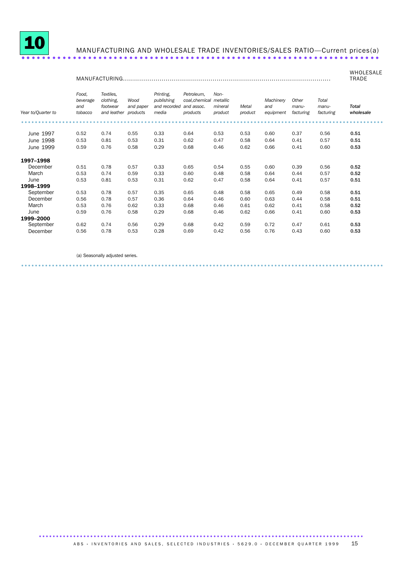

**June** 

1998-1999 September

March

1999-2000 September

June

December

December

0.53

 $0.53$ 

0.56

0.53

0.59

 $0.62$ 

 $0.56$ 

0.81

0.78

0.78

0.76

0.76

0.74

0.78

(a) Seasonally adjusted series.

0.53

0.57

 $0.57$ 

 $0.62$ 

0.58

0.56

 $0.53$ 

0.31

 $0.35$ 

 $0.36$ 

0.33

 $0.29$ 

 $0.29$ 

 $0.28$ 

0.62

0.65

 $0.64$ 

0.68

0.68

0.68

0.69

#### MANUFACTURING AND WHOLESALE TRADE INVENTORIES/SALES RATIO-Current prices(a)

#### WHOLESALE **TRADE** Food. Printing, **Textiles** Petroleum. Nonpublishing coal, chemical metallic beverage clothing,  $M$ Machinery Other Total and footwear and paper and recorded and assoc. mineral Metal and manumanu-Total Year to/Quarter to tobacco and leather products media products product product equipment facturing facturing wholesale . . . . . . . . . . . . . . . . . . . . . . . . . . . . . . . . . . . . June 1997  $0.52$ 0.74 0.55 0.33 0.64 0.53 0.53 0.60 0.37 0.56  $0.51$  $0.53$  $0.31$  $0.58$  $0.57$  $0.51$ June 1998  $0.53$ 0.81 0.62 0.47 0.64  $0.41$ 0.58  $0.29$ 0.53 June 1999 0.59 0.76 0.68  $0.46$  $0.62$ 0.66  $0.41$  $0.60$ 1997-1998  $0.55$  $0.51$ 0.78  $0.57$  $0.33$ 0.65  $0.54$  $0.60$ 0.39 0.56 0.52 December March  $0.53$ 0.74 0.59 0.33  $0.60$  $0.48$ 0.58 0.64  $0.44$ 0.57  $0.52$

0.47

 $0.48$ 

 $0.46$ 

 $0.46$ 

 $0.46$ 

 $0.42$ 

 $0.42$ 

0.58

0.58

0.60

 $0.61$ 

 $0.62$ 

0.59

0.56

0.64

0.65

 $0.63$ 

 $0.62$ 

0.66

0.72

0.76

 $0.41$ 

 $0.49$ 

 $0.44$ 

 $0.41$ 

 $0.41$ 

0.47

 $0.43$ 

0.57

0.58

0.58

0.58

 $0.60$ 

 $0.61$ 

 $0.60$ 

0.51

 $0.51$ 

 $0.51$ 

0.52

 $0.53$ 

0.53

0.53

. . . . . . . . . . ABS · INVENTORIES AND SALES, SELECTED INDUSTRIES · 5629.0 · DECEMBER QUARTER 1999 15